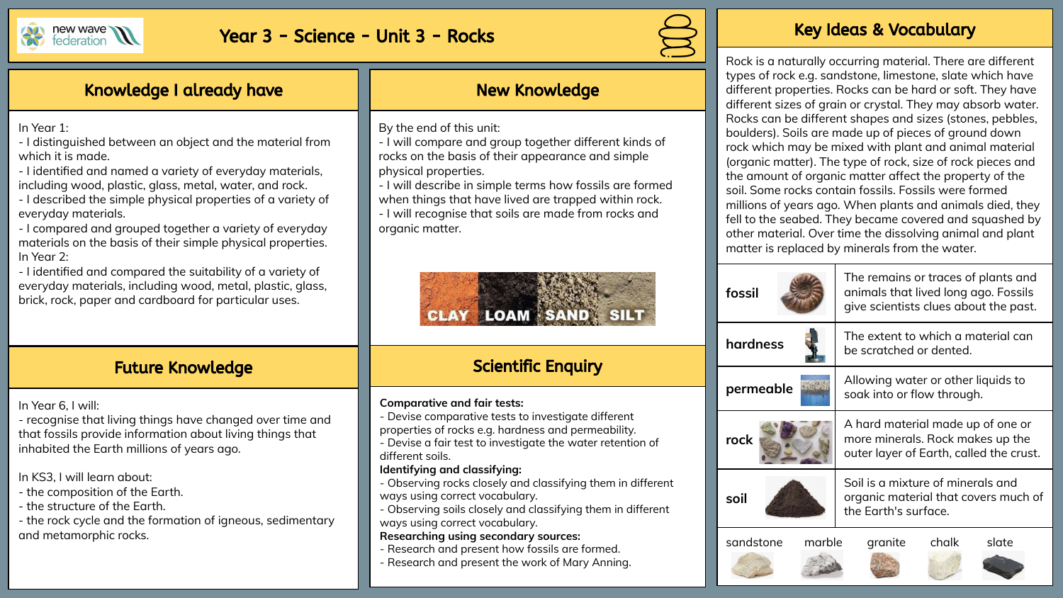

# Year 3 - Science - Unit 3 - Rocks Key Ideas & Vocabulary



Rock is a naturally occurring material. There are different types of rock e.g. sandstone, limestone, slate which have different properties. Rocks can be hard or soft. They have different sizes of grain or crystal. They may absorb water. Rocks can be different shapes and sizes (stones, pebbles, boulders). Soils are made up of pieces of ground down rock which may be mixed with plant and animal material (organic matter). The type of rock, size of rock pieces and the amount of organic matter affect the property of the soil. Some rocks contain fossils. Fossils were formed millions of years ago. When plants and animals died, they fell to the seabed. They became covered and squashed by other material. Over time the dissolving animal and plant matter is replaced by minerals from the water.

|  | fossil              | The remains or traces of plants and<br>animals that lived long ago. Fossils<br>give scientists clues about the past. |
|--|---------------------|----------------------------------------------------------------------------------------------------------------------|
|  | hardness            | The extent to which a material can<br>be scratched or dented.                                                        |
|  | permeable           | Allowing water or other liquids to<br>soak into or flow through.                                                     |
|  | rock                | A hard material made up of one or<br>more minerals. Rock makes up the<br>outer layer of Earth, called the crust.     |
|  | soil                | Soil is a mixture of minerals and<br>organic material that covers much of<br>the Earth's surface.                    |
|  | sandstone<br>marble | chalk<br>slate<br>granite                                                                                            |

## Knowledge I already have

In Year 1:

- I distinguished between an object and the material from which it is made.

- I identified and named a variety of everyday materials, including wood, plastic, glass, metal, water, and rock.

- I described the simple physical properties of a variety of everyday materials.

- I compared and grouped together a variety of everyday materials on the basis of their simple physical properties. In Year 2:

- I identified and compared the suitability of a variety of everyday materials, including wood, metal, plastic, glass, brick, rock, paper and cardboard for particular uses.

## Future Knowledge

In Year 6, I will:

- recognise that living things have changed over time and that fossils provide information about living things that inhabited the Earth millions of years ago.

In KS3, I will learn about:

- the composition of the Earth.
- the structure of the Earth.
- the rock cycle and the formation of igneous, sedimentary and metamorphic rocks.

## New Knowledge

By the end of this unit:

- I will compare and group together different kinds of rocks on the basis of their appearance and simple physical properties.

- I will describe in simple terms how fossils are formed when things that have lived are trapped within rock.

- I will recognise that soils are made from rocks and organic matter.



# Scientific Enquiry

### **Comparative and fair tests:**

- Devise comparative tests to investigate different

properties of rocks e.g. hardness and permeability.

- Devise a fair test to investigate the water retention of different soils.

#### **Identifying and classifying:**

- Observing rocks closely and classifying them in different ways using correct vocabulary.

- Observing soils closely and classifying them in different ways using correct vocabulary.

#### **Researching using secondary sources:**

- Research and present how fossils are formed.
- Research and present the work of Mary Anning.